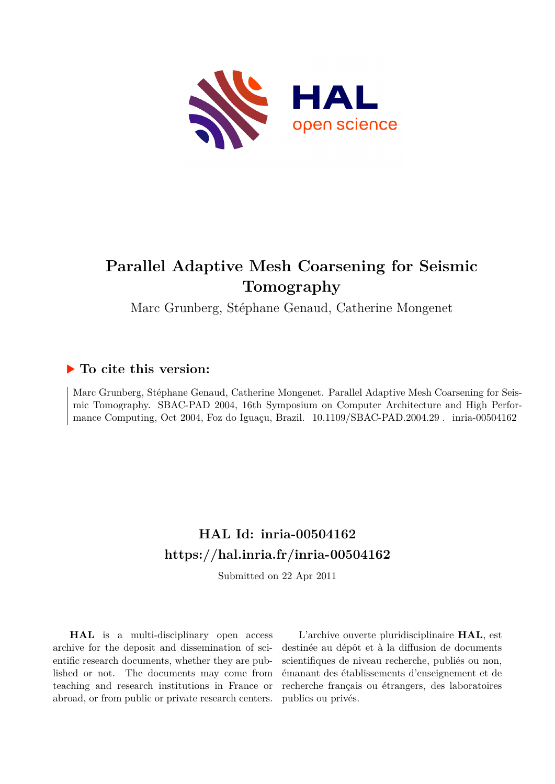

# **Parallel Adaptive Mesh Coarsening for Seismic Tomography**

Marc Grunberg, Stéphane Genaud, Catherine Mongenet

## **To cite this version:**

Marc Grunberg, Stéphane Genaud, Catherine Mongenet. Parallel Adaptive Mesh Coarsening for Seismic Tomography. SBAC-PAD 2004, 16th Symposium on Computer Architecture and High Performance Computing, Oct 2004, Foz do Iguaçu, Brazil. 10.1109/SBAC-PAD.2004.29 . inria-00504162

# **HAL Id: inria-00504162 <https://hal.inria.fr/inria-00504162>**

Submitted on 22 Apr 2011

**HAL** is a multi-disciplinary open access archive for the deposit and dissemination of scientific research documents, whether they are published or not. The documents may come from teaching and research institutions in France or abroad, or from public or private research centers.

L'archive ouverte pluridisciplinaire **HAL**, est destinée au dépôt et à la diffusion de documents scientifiques de niveau recherche, publiés ou non, émanant des établissements d'enseignement et de recherche français ou étrangers, des laboratoires publics ou privés.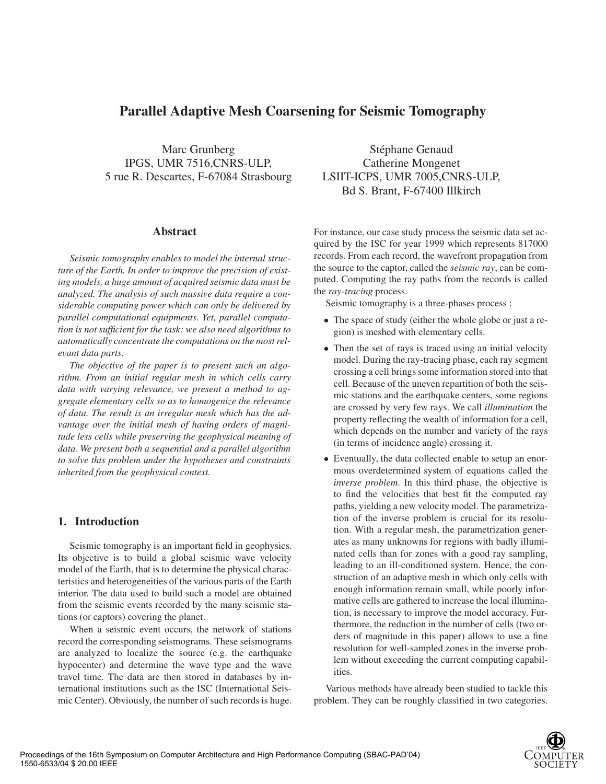## **Parallel Adaptive Mesh Coarsening for Seismic Tomography**

Marc Grunberg IPGS, UMR 7516,CNRS-ULP, 5 rue R. Descartes, F-67084 Strasbourg

#### **Abstract**

*Seismic tomography enables to model the internal structure of the Earth. In order to improve the precision of existing models, a huge amount of acquired seismic data must be analyzed. The analysis of such massive data require a considerable computing power which can only be delivered by parallel computational equipments. Yet, parallel computation is not sufficient for the task: we also need algorithms to automatically concentrate the computations on the most relevant data parts.*

*The objective of the paper is to present such an algorithm. From an initial regular mesh in which cells carry data with varying relevance, we present a method to aggregate elementary cells so as to homogenize the relevance of data. The result is an irregular mesh which has the advantage over the initial mesh of having orders of magnitude less cells while preserving the geophysical meaning of data. We present both a sequential and a parallel algorithm to solve this problem under the hypotheses and constraints inherited from the geophysical context.*

### **1. Introduction**

Seismic tomography is an important field in geophysics. Its objective is to build a global seismic wave velocity model of the Earth, that is to determine the physical characteristics and heterogeneities of the various parts of the Earth interior. The data used to build such a model are obtained from the seismic events recorded by the many seismic stations (or captors) covering the planet.

When a seismic event occurs, the network of stations record the corresponding seismograms. These seismograms are analyzed to localize the source (e.g. the earthquake hypocenter) and determine the wave type and the wave travel time. The data are then stored in databases by international institutions such as the ISC (International Seismic Center). Obviously, the number of such records is huge.

Stéphane Genaud Catherine Mongenet LSIIT-ICPS, UMR 7005,CNRS-ULP, Bd S. Brant, F-67400 Illkirch

For instance, our case study process the seismic data set acquired by the ISC for year 1999 which represents 817000 records. From each record, the wavefront propagation from the source to the captor, called the *seismic ray*, can be computed. Computing the ray paths from the records is called the *ray-tracing* process.

Seismic tomography is a three-phases process :

- The space of study (either the whole globe or just a region) is meshed with elementary cells.
- Then the set of rays is traced using an initial velocity model. During the ray-tracing phase, each ray segment crossing a cell brings some information stored into that cell. Because of the uneven repartition of both the seismic stations and the earthquake centers, some regions are crossed by very few rays. We call *illumination* the property reflecting the wealth of information for a cell, which depends on the number and variety of the rays (in terms of incidence angle) crossing it.
- Eventually, the data collected enable to setup an enormous overdetermined system of equations called the *inverse problem*. In this third phase, the objective is to find the velocities that best fit the computed ray paths, yielding a new velocity model. The parametrization of the inverse problem is crucial for its resolution. With a regular mesh, the parametrization generates as many unknowns for regions with badly illuminated cells than for zones with a good ray sampling, leading to an ill-conditioned system. Hence, the construction of an adaptive mesh in which only cells with enough information remain small, while poorly informative cells are gathered to increase the local illumination, is necessary to improve the model accuracy. Furthermore, the reduction in the number of cells (two orders of magnitude in this paper) allows to use a fine resolution for well-sampled zones in the inverse problem without exceeding the current computing capabilities.

Various methods have already been studied to tackle this problem. They can be roughly classified in two categories.

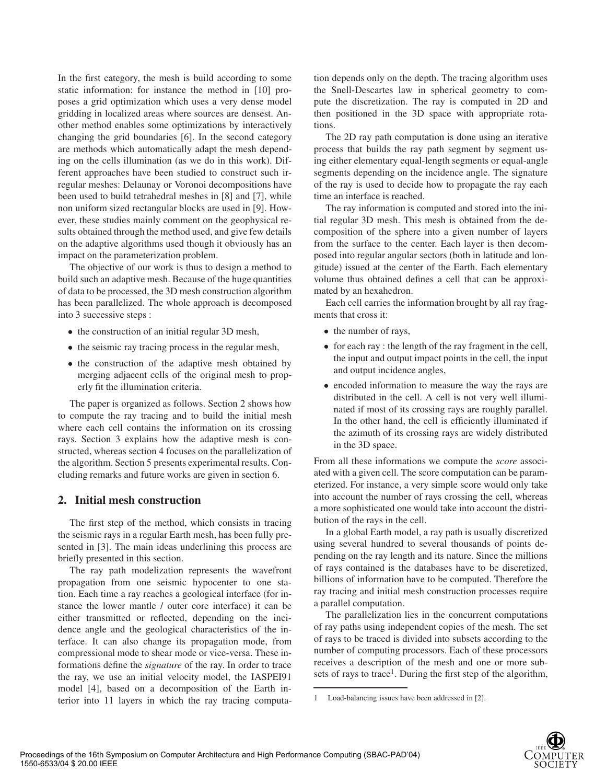In the first category, the mesh is build according to some static information: for instance the method in [10] proposes a grid optimization which uses a very dense model gridding in localized areas where sources are densest. Another method enables some optimizations by interactively changing the grid boundaries [6]. In the second category are methods which automatically adapt the mesh depending on the cells illumination (as we do in this work). Different approaches have been studied to construct such irregular meshes: Delaunay or Voronoi decompositions have been used to build tetrahedral meshes in [8] and [7], while non uniform sized rectangular blocks are used in [9]. However, these studies mainly comment on the geophysical results obtained through the method used, and give few details on the adaptive algorithms used though it obviously has an impact on the parameterization problem.

The objective of our work is thus to design a method to build such an adaptive mesh. Because of the huge quantities of data to be processed, the 3D mesh construction algorithm has been parallelized. The whole approach is decomposed into 3 successive steps :

- the construction of an initial regular 3D mesh,
- the seismic ray tracing process in the regular mesh,
- the construction of the adaptive mesh obtained by merging adjacent cells of the original mesh to properly fit the illumination criteria.

The paper is organized as follows. Section 2 shows how to compute the ray tracing and to build the initial mesh where each cell contains the information on its crossing rays. Section 3 explains how the adaptive mesh is constructed, whereas section 4 focuses on the parallelization of the algorithm. Section 5 presents experimental results. Concluding remarks and future works are given in section 6.

### **2. Initial mesh construction**

The first step of the method, which consists in tracing the seismic rays in a regular Earth mesh, has been fully presented in [3]. The main ideas underlining this process are briefly presented in this section.

The ray path modelization represents the wavefront propagation from one seismic hypocenter to one station. Each time a ray reaches a geological interface (for instance the lower mantle / outer core interface) it can be either transmitted or reflected, depending on the incidence angle and the geological characteristics of the interface. It can also change its propagation mode, from compressional mode to shear mode or vice-versa. These informations define the *signature* of the ray. In order to trace the ray, we use an initial velocity model, the IASPEI91 model [4], based on a decomposition of the Earth interior into 11 layers in which the ray tracing computation depends only on the depth. The tracing algorithm uses the Snell-Descartes law in spherical geometry to compute the discretization. The ray is computed in 2D and then positioned in the 3D space with appropriate rotations.

The 2D ray path computation is done using an iterative process that builds the ray path segment by segment using either elementary equal-length segments or equal-angle segments depending on the incidence angle. The signature of the ray is used to decide how to propagate the ray each time an interface is reached.

The ray information is computed and stored into the initial regular 3D mesh. This mesh is obtained from the decomposition of the sphere into a given number of layers from the surface to the center. Each layer is then decomposed into regular angular sectors (both in latitude and longitude) issued at the center of the Earth. Each elementary volume thus obtained defines a cell that can be approximated by an hexahedron.

Each cell carries the information brought by all ray fragments that cross it:

- the number of rays,
- for each ray : the length of the ray fragment in the cell, the input and output impact points in the cell, the input and output incidence angles,
- encoded information to measure the way the rays are distributed in the cell. A cell is not very well illuminated if most of its crossing rays are roughly parallel. In the other hand, the cell is efficiently illuminated if the azimuth of its crossing rays are widely distributed in the 3D space.

From all these informations we compute the *score* associated with a given cell. The score computation can be parameterized. For instance, a very simple score would only take into account the number of rays crossing the cell, whereas a more sophisticated one would take into account the distribution of the rays in the cell.

In a global Earth model, a ray path is usually discretized using several hundred to several thousands of points depending on the ray length and its nature. Since the millions of rays contained is the databases have to be discretized, billions of information have to be computed. Therefore the ray tracing and initial mesh construction processes require a parallel computation.

The parallelization lies in the concurrent computations of ray paths using independent copies of the mesh. The set of rays to be traced is divided into subsets according to the number of computing processors. Each of these processors receives a description of the mesh and one or more subsets of rays to trace<sup>1</sup>. During the first step of the algorithm,

<sup>1</sup> Load-balancing issues have been addressed in [2].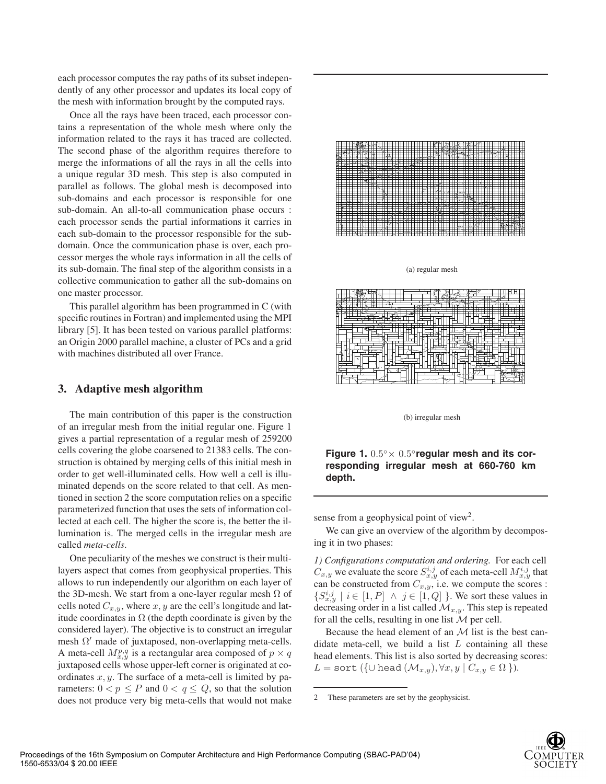each processor computes the ray paths of its subset independently of any other processor and updates its local copy of the mesh with information brought by the computed rays.

Once all the rays have been traced, each processor contains a representation of the whole mesh where only the information related to the rays it has traced are collected. The second phase of the algorithm requires therefore to merge the informations of all the rays in all the cells into a unique regular 3D mesh. This step is also computed in parallel as follows. The global mesh is decomposed into sub-domains and each processor is responsible for one sub-domain. An all-to-all communication phase occurs : each processor sends the partial informations it carries in each sub-domain to the processor responsible for the subdomain. Once the communication phase is over, each processor merges the whole rays information in all the cells of its sub-domain. The final step of the algorithm consists in a collective communication to gather all the sub-domains on one master processor.

This parallel algorithm has been programmed in C (with specific routines in Fortran) and implemented using the MPI library [5]. It has been tested on various parallel platforms: an Origin 2000 parallel machine, a cluster of PCs and a grid with machines distributed all over France.

### **3. Adaptive mesh algorithm**

The main contribution of this paper is the construction of an irregular mesh from the initial regular one. Figure 1 gives a partial representation of a regular mesh of 259200 cells covering the globe coarsened to 21383 cells. The construction is obtained by merging cells of this initial mesh in order to get well-illuminated cells. How well a cell is illuminated depends on the score related to that cell. As mentioned in section 2 the score computation relies on a specific parameterized function that uses the sets of information collected at each cell. The higher the score is, the better the illumination is. The merged cells in the irregular mesh are called *meta-cells*.

One peculiarity of the meshes we construct is their multilayers aspect that comes from geophysical properties. This allows to run independently our algorithm on each layer of the 3D-mesh. We start from a one-layer regular mesh  $\Omega$  of cells noted  $C_{x,y}$ , where x, y are the cell's longitude and latitude coordinates in  $\Omega$  (the depth coordinate is given by the considered layer). The objective is to construct an irregular mesh  $\Omega'$  made of juxtaposed, non-overlapping meta-cells. A meta-cell  $M_{x,y}^{p,q}$  is a rectangular area composed of  $p \times q$ juxtaposed cells whose upper-left corner is originated at coordinates  $x, y$ . The surface of a meta-cell is limited by parameters:  $0 < p \leq P$  and  $0 < q \leq Q$ , so that the solution does not produce very big meta-cells that would not make



(a) regular mesh



(b) irregular mesh

#### **Figure 1.** 0.5◦<sup>×</sup> 0.5◦**regular mesh and its corresponding irregular mesh at 660-760 km depth.**

sense from a geophysical point of view<sup>2</sup>.

We can give an overview of the algorithm by decomposing it in two phases:

*1) Configurations computation and ordering.* For each cell  $C_{x,y}$  we evaluate the score  $S_{x,y}^{i,j}$  of each meta-cell  $M_{x,y}^{i,j}$  that can be constructed from  $C_{x,y}$ , i.e. we compute the scores :  $\{S_{x,y}^{i,j} \mid i \in [1, P] \land j \in [1, Q] \}$ . We sort these values in decreasing order in a list called M. This step is repeated decreasing order in a list called  $\mathcal{M}_{x,y}$ . This step is repeated for all the cells, resulting in one list  $M$  per cell.

Because the head element of an  $M$  list is the best candidate meta-cell, we build a list  $L$  containing all these head elements. This list is also sorted by decreasing scores:  $L =$  sort  $(\{\cup \text{head } (\mathcal{M}_{x,y}), \forall x, y \mid C_{x,y} \in \Omega \})$ ).



These parameters are set by the geophysicist.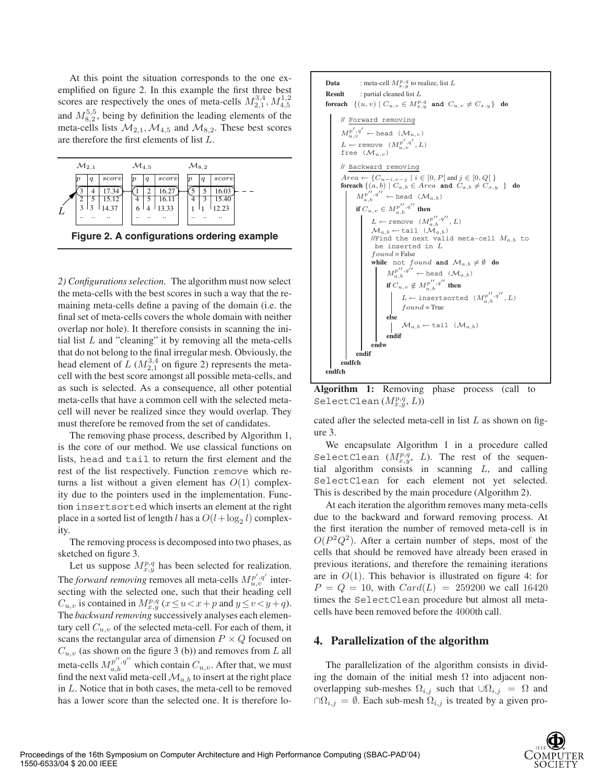At this point the situation corresponds to the one exemplified on figure 2. In this example the first three best scores are respectively the ones of meta-cells  $M_{2,1}^{3,4}, M_{4,5}^{1,2}$ and  $M_{8,2}^{5,5}$ , being by definition the leading elements of the meta-cells lists  $M_{2,1}$ ,  $M_{4,5}$  and  $M_{8,2}$ . These best scores are therefore the first elements of list L.



*2) Configurations selection.* The algorithm must now select the meta-cells with the best scores in such a way that the remaining meta-cells define a paving of the domain (i.e. the final set of meta-cells covers the whole domain with neither overlap nor hole). It therefore consists in scanning the initial list  $L$  and "cleaning" it by removing all the meta-cells that do not belong to the final irregular mesh. Obviously, the head element of  $L$  ( $M_{2,1}^{3,4}$  on figure 2) represents the metacell with the best score amongst all possible meta-cells, and as such is selected. As a consequence, all other potential meta-cells that have a common cell with the selected metacell will never be realized since they would overlap. They must therefore be removed from the set of candidates.

The removing phase process, described by Algorithm 1, is the core of our method. We use classical functions on lists, head and tail to return the first element and the rest of the list respectively. Function remove which returns a list without a given element has  $O(1)$  complexity due to the pointers used in the implementation. Function insertsorted which inserts an element at the right place in a sorted list of length l has a  $O(l + \log_2 l)$  complexity.

The removing process is decomposed into two phases, as sketched on figure 3.

Let us suppose  $M_{x,y}^{p,q}$  has been selected for realization. The *forward removing* removes all meta-cells  $M_{u,v}^{p',q'}$  intersecting with the selected one, such that their heading cell  $C_{u,v}$  is contained in  $M_{x,y}^{p,q}$   $(x \le u < x + p$  and  $y \le v < y + q)$ .<br>The *hackward removing* successively analyses each elemen-The *backward removing* successively analyses each elementary cell  $C_{u,v}$  of the selected meta-cell. For each of them, it scans the rectangular area of dimension  $P \times Q$  focused on  $C_{u,v}$  (as shown on the figure 3 (b)) and removes from L all meta-cells  $M_{a,b}^{p'',q''}$  which contain  $C_{u,v}$ . After that, we must find the next valid meta-cell  $\mathcal{M}_{a,b}$  to insert at the right place in L. Notice that in both cases, the meta-cell to be removed has a lower score than the selected one. It is therefore lo-

**Data** : meta-cell  $M_{x,y}^{p,q}$  to realize, list L **Result** : partial cleaned list L **foreach**  $\{(u, v) | C_{u,v} \in M_{x,y}^{p,q} \text{ and } C_{u,v} \neq C_{x,y}\}$  do Forward removing  $M^{p',q'}_{u,v} \leftarrow$  head  $(\mathcal{M}_{u,v})$  $L \leftarrow$  remove  $(M_{u,v}^{p',q'}, L)$ free  $(M_{u,v})$ // Backward removing  $Area \leftarrow \{C_{u-i, v-j} \mid i \in [0, P[ \text{ and } j \in [0, Q[ \}$ <br>**foreach** {(a, b) |  $C_{a,b} \in Area$  and  $C_{a,b} \neq C_{x,y}$  } do  $M_{a,b}^{p'',q''} \leftarrow$  head  $(\mathcal{M}_{a,b})$ **if**  $C_{u,v} \in M_{a,b}^{p'',q''}$  then  $L \leftarrow \texttt{remove} \ (M_{a,b}^{p''}, q'' , L)$  $\mathcal{M}_{a,b} \leftarrow \texttt{tail}~(\mathcal{M}_{a,b})$ //Find the next valid meta-cell  $M_{a,b}$  to be inserted in L  $found = False$ **while** not found **and**  $\mathcal{M}_{a,b} \neq \emptyset$  **do**  $M^{p'',q''}_{a,b} \leftarrow$  head  $(\mathcal{M}_{a,b})$ **if**  $C_{u,v} \notin M_{a,b}^{p'',q''}$  then  $L \leftarrow$  insertsorted  $(M_{a,b}^{p''}, q'' , L)$  $found = True$ **else**  $\mathcal{M}_{a,b} \leftarrow \text{tail } (\mathcal{M}_{a,b})$ **endif endw endif endfch endfch**

**Algorithm 1:** Removing phase process (call to SelectClean  $(M^{p,q}_{x,y},L)$ 

cated after the selected meta-cell in list  $L$  as shown on figure 3.

We encapsulate Algorithm 1 in a procedure called SelectClean  $(M^{p,q}_{x,y}, L)$ . The rest of the sequential algorithm consists in scanning  $L$ , and calling SelectClean for each element not yet selected. This is described by the main procedure (Algorithm 2).

At each iteration the algorithm removes many meta-cells due to the backward and forward removing process. At the first iteration the number of removed meta-cell is in  $O(P^2Q^2)$ . After a certain number of steps, most of the cells that should be removed have already been erased in previous iterations, and therefore the remaining iterations are in  $O(1)$ . This behavior is illustrated on figure 4: for  $P = Q = 10$ , with  $Card(L) = 259200$  we call 16420 times the SelectClean procedure but almost all metacells have been removed before the 4000th call.

#### **4. Parallelization of the algorithm**

The parallelization of the algorithm consists in dividing the domain of the initial mesh  $\Omega$  into adjacent nonoverlapping sub-meshes  $\Omega_{i,j}$  such that  $\cup \Omega_{i,j} = \Omega$  and  $\cap \Omega_{i,j} = \emptyset$ . Each sub-mesh  $\Omega_{i,j}$  is treated by a given pro-

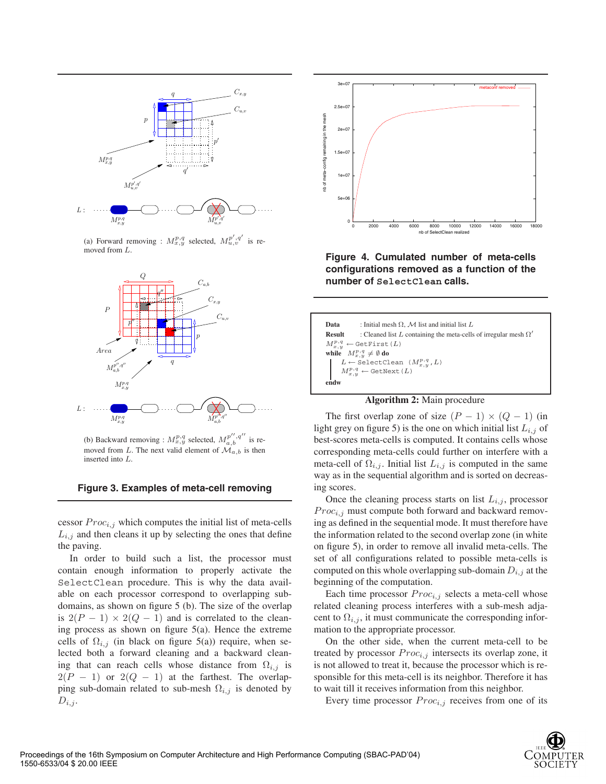

(a) Forward removing :  $M_{x,y}^{p,q}$  selected,  $M_{u,v}^{p',q'}$  is removed from L.



(b) Backward removing :  $M_{x,y}^{p,q}$  selected,  $M_{a,b}^{p'',q''}$  is removed from L. The next valid element of  $\mathcal{M}_{a,b}$  is then inserted into L.



cessor  $Proc_{i,j}$  which computes the initial list of meta-cells  $L_{i,j}$  and then cleans it up by selecting the ones that define the paving.

In order to build such a list, the processor must contain enough information to properly activate the SelectClean procedure. This is why the data available on each processor correspond to overlapping subdomains, as shown on figure 5 (b). The size of the overlap is  $2(P - 1) \times 2(Q - 1)$  and is correlated to the cleaning process as shown on figure  $5(a)$ . Hence the extreme cells of  $\Omega_{i,j}$  (in black on figure 5(a)) require, when selected both a forward cleaning and a backward cleaning that can reach cells whose distance from  $\Omega_{i,j}$  is  $2(P - 1)$  or  $2(Q - 1)$  at the farthest. The overlapping sub-domain related to sub-mesh  $\Omega_{i,j}$  is denoted by  $D_{i,j}$ .



**Figure 4. Cumulated number of meta-cells configurations removed as a function of the number of SelectClean calls.**

| Data<br>: Initial mesh $\Omega$ , M list and initial list L |                                                                                                                                                     |  |
|-------------------------------------------------------------|-----------------------------------------------------------------------------------------------------------------------------------------------------|--|
| <b>Result</b>                                               | : Cleaned list L containing the meta-cells of irregular mesh $\Omega'$                                                                              |  |
|                                                             | $M^{p,q}_{x,y} \leftarrow$ GetFirst $(L)$                                                                                                           |  |
|                                                             | while $M_{x,y}^{p,q} \neq \emptyset$ do                                                                                                             |  |
|                                                             | $\left\{ \begin{array}{ll} L \leftarrow \text{SelectClear } (M^{p,q}_{x,y}, L) \\ M^{p,q}_{x,y} \leftarrow \text{GetNext } (L) \end{array} \right.$ |  |
|                                                             |                                                                                                                                                     |  |
| endw                                                        |                                                                                                                                                     |  |

#### **Algorithm 2:** Main procedure

The first overlap zone of size  $(P - 1) \times (Q - 1)$  (in light grey on figure 5) is the one on which initial list  $L_{i,j}$  of best-scores meta-cells is computed. It contains cells whose corresponding meta-cells could further on interfere with a meta-cell of  $\Omega_{i,j}$ . Initial list  $L_{i,j}$  is computed in the same way as in the sequential algorithm and is sorted on decreasing scores.

Once the cleaning process starts on list  $L_{i,j}$ , processor  $Proc_{i,j}$  must compute both forward and backward removing as defined in the sequential mode. It must therefore have the information related to the second overlap zone (in white on figure 5), in order to remove all invalid meta-cells. The set of all configurations related to possible meta-cells is computed on this whole overlapping sub-domain  $D_{i,j}$  at the beginning of the computation.

Each time processor  $Proc_{i,j}$  selects a meta-cell whose related cleaning process interferes with a sub-mesh adjacent to  $\Omega_{i,j}$ , it must communicate the corresponding information to the appropriate processor.

On the other side, when the current meta-cell to be treated by processor  $Proc_{i,j}$  intersects its overlap zone, it is not allowed to treat it, because the processor which is responsible for this meta-cell is its neighbor. Therefore it has to wait till it receives information from this neighbor.

Every time processor  $Proc_{i,j}$  receives from one of its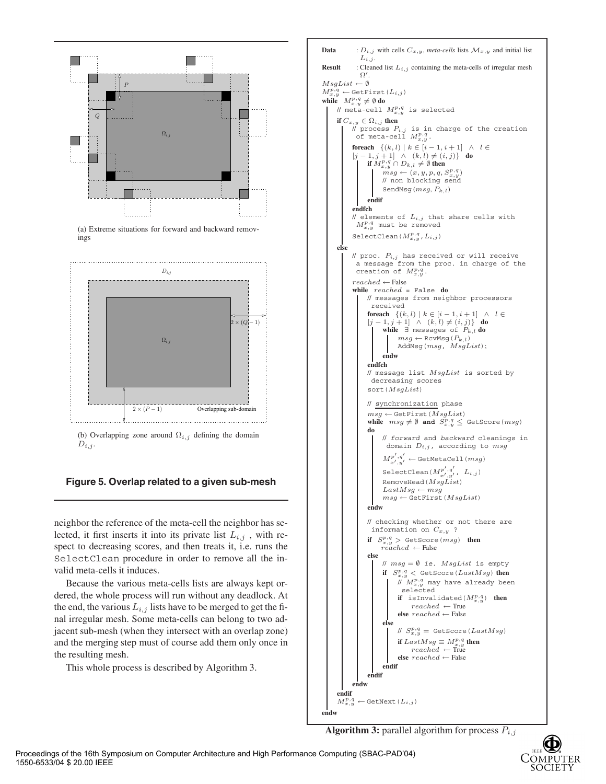





(b) Overlapping zone around  $\Omega_{i,j}$  defining the domain  $D_{i,j}$ .

#### **Figure 5. Overlap related to a given sub-mesh**

neighbor the reference of the meta-cell the neighbor has selected, it first inserts it into its private list  $L_{i,j}$ , with respect to decreasing scores, and then treats it, i.e. runs the SelectClean procedure in order to remove all the invalid meta-cells it induces.

Because the various meta-cells lists are always kept ordered, the whole process will run without any deadlock. At the end, the various  $L_{i,j}$  lists have to be merged to get the final irregular mesh. Some meta-cells can belong to two adjacent sub-mesh (when they intersect with an overlap zone) and the merging step must of course add them only once in the resulting mesh.

This whole process is described by Algorithm 3.

```
Data : D_{i,j} with cells C_{x,y}, meta-cells lists \mathcal{M}_{x,y} and initial list
              L_{i,j}.
Result : Cleaned list L_{i,j} containing the meta-cells of irregular mesh
               Ω
.
MsgList \leftarrow \emptysetM^{p,\,q}_{x,\,y} \leftarrow \texttt{GetFirst}\left(L_{i,\,j}\right)while M_{x,y}^{p,q} \neq \emptyset do
      \mathcal{W} meta-cell M^{p,\,q}_{x,\,y} is selected
      if C_{x,y} \in \Omega_{i,j} then<br>
| N process P_{i,j} is in charge of the creation
              of meta-cell M_{x,y}^{p,q}.
            foreach \{(k, l) | k \in [i - 1, i + 1] \land l \in[j-1, j+1] \wedge (k, l) \neq (i, j)} do<br>
if M_{x,y}^{p,q} \cap D_{k,l} \neq \emptyset then
                         \textit{msg} \leftarrow (x, y, p, q, S^{p, q}_{x, y})<br>
W non blocking send
                        SendMsg (msg, Pk,l)
                 endif
            endfch
            \mathcal{U} elements of L_{i,j} that share cells with
              Mp,q
x,y must be removed
            SelectClean (M^{p,q}_{x,y},L_{i,j})else
            \mathcal U proc. P_{i,j} has received or will receive<br>a message from the proc. in charge of the
              creation of Mp,q
x,y .
            reached \leftarrow Falsewhile reached = False do
                 // messages from neighbor processors
                   received
                  foreach \{(k, l) | k \in [i - 1, i + 1] \land l \in[j - 1, j + 1] ∧ (k, l) \neq (i, j)} do<br>
while ∃ messages of P_{k, l} do
                             msg \leftarrow \mathsf{RcvMsg}\left(P_{k,l}\right)AddMsg(msg, MsgList);
                        endw
                  endfch
                  \# message list MsgList is sorted by
                   decreasing scores
                  sort(MsgList)// synchronization phase
                  msg \leftarrow \texttt{GetFirst}(MsgList)while msg \neq \emptyset and S_{x,y}^{p,q} \leq GetScore(msg)
                  do
                        // forward and backward cleanings in
                         domain \mathcal{D}_{i,j} , according to msgM^{p',q'}_{x',y'} \leftarrow GetMetaCell(msg)SelectClean(M^{p',q'}_{x',y'}, L_{i,j})
                        RemoveHead(Ms^{N}_{\alpha}L_{ist})LastMsg \leftarrow msgmsg \leftarrow \text{GetFirst}(Msqlist)endw
                  // checking whether or not there are
                    information on Cx,y ?
                  if S_{x,y}^{p,q} > GetScore(msg) then
                       reached \leftarrow Falseelse
                       // msg = \emptyset ie. MsgList is empty
                         if S_{x,y}^{p,q} < GetScore(LastMsg) then
                               \frac{m^{p,q}_{x,y}}{m^{p,q}_{x,y}} may have already been<br>selected
                               if isInvalidated(Mp,q
x,y) then
                                   reached \leftarrow Trueelse reached ← False
                        else
                               \mathcal{W} \, S_{x,y}^{p,q} = \text{GetScore}(LastMsg)if LastMsg \equiv M_{x,y}^{p,q} then
                                   reached \leftarrow Truereached \leftarrow \text{False}endif
                 endif
           endw
     endif
      M^{p,q}_{x,y} \leftarrow \texttt{GetNext}\left(L_{i,j}\right)endw
```
**Algorithm 3:** parallel algorithm for process  $P_{i,j}$ 

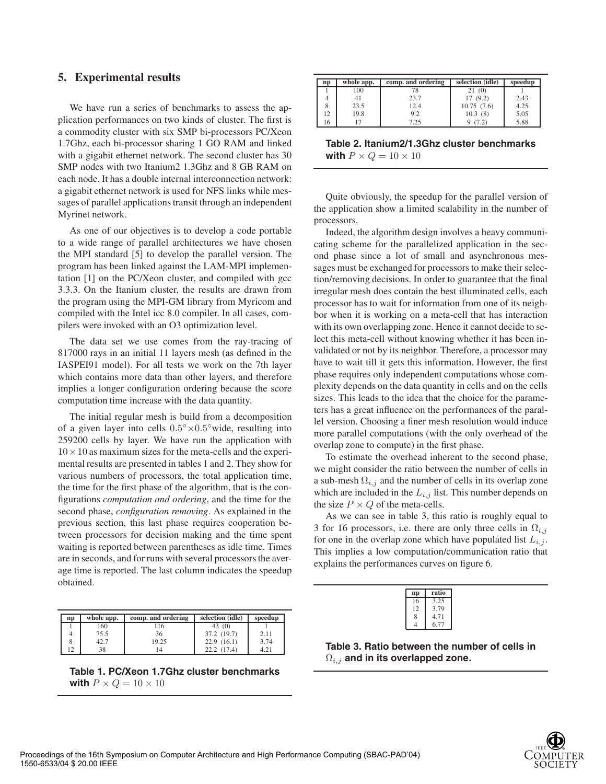### **5. Experimental results**

We have run a series of benchmarks to assess the application performances on two kinds of cluster. The first is a commodity cluster with six SMP bi-processors PC/Xeon 1.7Ghz, each bi-processor sharing 1 GO RAM and linked with a gigabit ethernet network. The second cluster has 30 SMP nodes with two Itanium2 1.3Ghz and 8 GB RAM on each node. It has a double internal interconnection network: a gigabit ethernet network is used for NFS links while messages of parallel applications transit through an independent Myrinet network.

As one of our objectives is to develop a code portable to a wide range of parallel architectures we have chosen the MPI standard [5] to develop the parallel version. The program has been linked against the LAM-MPI implementation [1] on the PC/Xeon cluster, and compiled with gcc 3.3.3. On the Itanium cluster, the results are drawn from the program using the MPI-GM library from Myricom and compiled with the Intel icc 8.0 compiler. In all cases, compilers were invoked with an O3 optimization level.

The data set we use comes from the ray-tracing of 817000 rays in an initial 11 layers mesh (as defined in the IASPEI91 model). For all tests we work on the 7th layer which contains more data than other layers, and therefore implies a longer configuration ordering because the score computation time increase with the data quantity.

The initial regular mesh is build from a decomposition of a given layer into cells  $0.5° \times 0.5°$  wide, resulting into 259200 cells by layer. We have run the application with  $10 \times 10$  as maximum sizes for the meta-cells and the experimental results are presented in tables 1 and 2. They show for various numbers of processors, the total application time, the time for the first phase of the algorithm, that is the configurations *computation and ordering*, and the time for the second phase, *configuration removing*. As explained in the previous section, this last phase requires cooperation between processors for decision making and the time spent waiting is reported between parentheses as idle time. Times are in seconds, and for runs with several processors the average time is reported. The last column indicates the speedup obtained.

| np | whole app. | comp. and ordering | selection (idle) | speedup |
|----|------------|--------------------|------------------|---------|
|    | 160        | 116                | 43(0)            |         |
|    | 75.5       | 36                 | 37.2 (19.7)      | 2.11    |
| 8  | 42.7       | 19.25              | 22.9(16.1)       | 3.74    |
| 12 | 38         |                    | 22.2(17.4)       | 4.21    |



| np | whole app. | comp. and ordering | selection (idle) | speedup |
|----|------------|--------------------|------------------|---------|
|    | 100        | 78                 | 21(0)            |         |
|    | 41         | 23.7               | 17(9.2)          | 2.43    |
| 8  | 23.5       | 12.4               | 10.75(7.6)       | 4.25    |
| 12 | 19.8       | 9.2                | 10.3(8)          | 5.05    |
| 16 |            | 7.25               | 9(7.2)           | 5.88    |

**Table 2. Itanium2/1.3Ghz cluster benchmarks with**  $P \times Q = 10 \times 10$ 

Quite obviously, the speedup for the parallel version of the application show a limited scalability in the number of processors.

Indeed, the algorithm design involves a heavy communicating scheme for the parallelized application in the second phase since a lot of small and asynchronous messages must be exchanged for processors to make their selection/removing decisions. In order to guarantee that the final irregular mesh does contain the best illuminated cells, each processor has to wait for information from one of its neighbor when it is working on a meta-cell that has interaction with its own overlapping zone. Hence it cannot decide to select this meta-cell without knowing whether it has been invalidated or not by its neighbor. Therefore, a processor may have to wait till it gets this information. However, the first phase requires only independent computations whose complexity depends on the data quantity in cells and on the cells sizes. This leads to the idea that the choice for the parameters has a great influence on the performances of the parallel version. Choosing a finer mesh resolution would induce more parallel computations (with the only overhead of the overlap zone to compute) in the first phase.

To estimate the overhead inherent to the second phase, we might consider the ratio between the number of cells in a sub-mesh  $\Omega_{i,j}$  and the number of cells in its overlap zone which are included in the  $L_{i,j}$  list. This number depends on the size  $P \times Q$  of the meta-cells.

As we can see in table 3, this ratio is roughly equal to 3 for 16 processors, i.e. there are only three cells in  $\Omega_{i,j}$ for one in the overlap zone which have populated list  $L_{i,j}$ . This implies a low computation/communication ratio that explains the performances curves on figure 6.

| np | ratio |
|----|-------|
| 16 |       |
| 12 | 3.79  |
| 8  | 4.71  |
|    | 6.77  |

**Table 3. Ratio between the number of cells in**  $\Omega_{i,j}$  and in its overlapped zone.